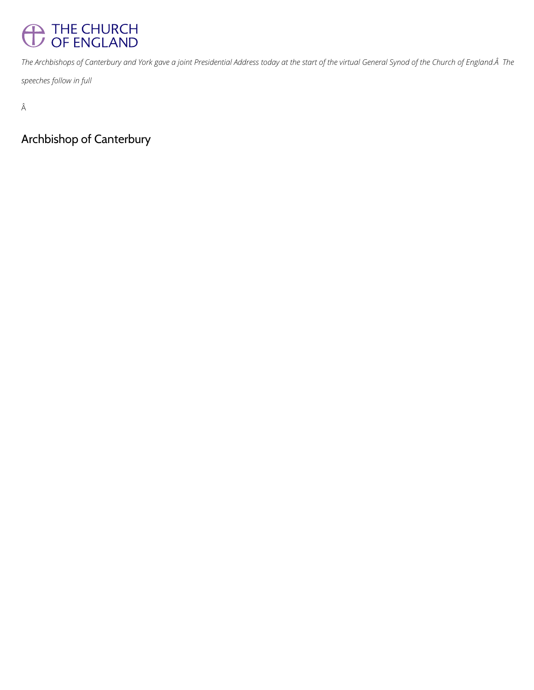## THE CHURCH

The Archbishops of Canterbury and York gave a joint Presidential Address today at the start of the virtual General Synod of the Church of England. A The

*speeches follow in full*

 $\hat{\text{A}}$ 

Archbishop of Canterbury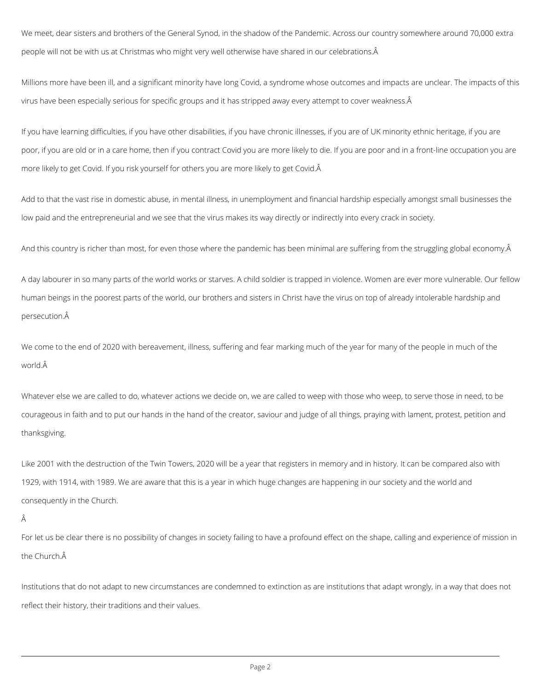We meet, dear sisters and brothers of the General Synod, in the shadow of the Pandemic. Across our country somewhere around 70,000 extra people will not be with us at Christmas who might very well otherwise have shared in our celebrations.

Millions more have been ill, and a significant minority have long Covid, a syndrome whose outcomes and impacts are unclear. The impacts of this virus have been especially serious for specific groups and it has stripped away every attempt to cover weakness.Â

If you have learning difficulties, if you have other disabilities, if you have chronic illnesses, if you are of UK minority ethnic heritage, if you are poor, if you are old or in a care home, then if you contract Covid you are more likely to die. If you are poor and in a front-line occupation you are more likely to get Covid. If you risk yourself for others you are more likely to get Covid.

We come to the end of 2020 with bereavement, illness, suffering and fear marking much of the year for many of the people in much of the world. $\hat{A}$ 

Add to that the vast rise in domestic abuse, in mental illness, in unemployment and financial hardship especially amongst small businesses the low paid and the entrepreneurial and we see that the virus makes its way directly or indirectly into every crack in society.

And this country is richer than most, for even those where the pandemic has been minimal are suffering from the struggling global economy. Â

A day labourer in so many parts of the world works or starves. A child soldier is trapped in violence. Women are ever more vulnerable. Our fellow human beings in the poorest parts of the world, our brothers and sisters in Christ have the virus on top of already intolerable hardship and persecution.

Whatever else we are called to do, whatever actions we decide on, we are called to weep with those who weep, to serve those in need, to be courageous in faith and to put our hands in the hand of the creator, saviour and judge of all things, praying with lament, protest, petition and thanksgiving.

Like 2001 with the destruction of the Twin Towers, 2020 will be a year that registers in memory and in history. It can be compared also with 1929, with 1914, with 1989. We are aware that this is a year in which huge changes are happening in our society and the world and consequently in the Church.

For let us be clear there is no possibility of changes in society failing to have a profound effect on the shape, calling and experience of mission in the Church.

Institutions that do not adapt to new circumstances are condemned to extinction as are institutions that adapt wrongly, in a way that does not

reflect their history, their traditions and their values.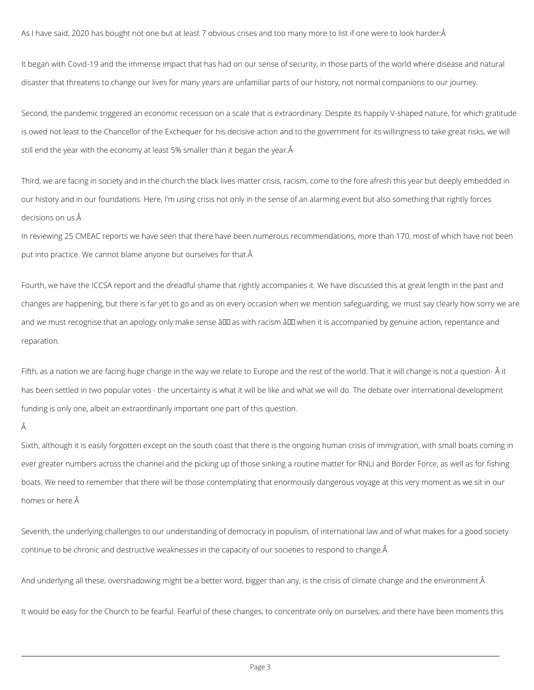As I have said, 2020 has bought not one but at least 7 obvious crises and too many more to list if one were to look harder:Â

It began with Covid-19 and the immense impact that has had on our sense of security, in those parts of the world where disease and natural disaster that threatens to change our lives for many years are unfamiliar parts of our history, not normal companions to our journey.

Third, we are facing in society and in the church the black lives matter crisis, racism, come to the fore afresh this year but deeply embedded in our history and in our foundations. Here, I'm using crisis not only in the sense of an alarming event but also something that rightly forces decisions on us. Â

In reviewing 25 CMEAC reports we have seen that there have been numerous recommendations, more than 170, most of which have not been put into practice. We cannot blame anyone but ourselves for that.  $\hat{A}$ 

Second, the pandemic triggered an economic recession on a scale that is extraordinary. Despite its happily V-shaped nature, for which gratitude is owed not least to the Chancellor of the Exchequer for his decisive action and to the government for its willingness to take great risks, we will still end the year with the economy at least 5% smaller than it began the year.

Fourth, we have the ICCSA report and the dreadful shame that rightly accompanies it. We have discussed this at great length in the past and changes are happening, but there is far yet to go and as on every occasion when we mention safeguarding, we must say clearly how sorry we are and we must recognise that an apology only make sense â D as with racism â D when it is accompanied by genuine action, repentance and reparation.

Fifth, as a nation we are facing huge change in the way we relate to Europe and the rest of the world. That it will change is not a question- Â it has been settled in two popular votes - the uncertainty is what it will be like and what we will do. The debate over international development funding is only one, albeit an extraordinarily important one part of this question.

Â

Sixth, although it is easily forgotten except on the south coast that there is the ongoing human crisis of immigration, with small boats coming in ever greater numbers across the channel and the picking up of those sinking a routine matter for RNLI and Border Force, as well as for fishing boats. We need to remember that there will be those contemplating that enormously dangerous voyage at this very moment as we sit in our homes or here.

Seventh, the underlying challenges to our understanding of democracy in populism, of international law and of what makes for a good society

continue to be chronic and destructive weaknesses in the capacity of our societies to respond to change.

And underlying all these, overshadowing might be a better word, bigger than any, is the crisis of climate change and the environment.Â

It would be easy for the Church to be fearful. Fearful of these changes, to concentrate only on ourselves, and there have been moments this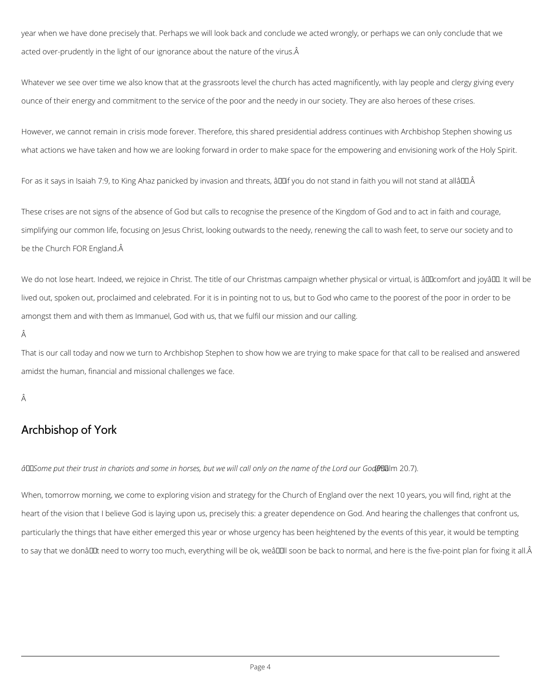year when we have done precisely that. Perhaps we will look back and conclude we acted wrongly, or perhaps we can only conclude that we acted over-prudently in the light of our ignorance about the nature of the virus. A

Whatever we see over time we also know that at the grassroots level the church has acted magnificently, with lay people and clergy giving every ounce of their energy and commitment to the service of the poor and the needy in our society. They are also heroes of these crises.

However, we cannot remain in crisis mode forever. Therefore, this shared presidential address continues with Archbishop Stephen showing us what actions we have taken and how we are looking forward in order to make space for the empowering and envisioning work of the Holy Spirit.

For as it says in Isaiah 7:9, to King Ahaz panicked by invasion and threats, âll fyou do not stand in faith you will not stand at allâll L.Â

We do not lose heart. Indeed, we rejoice in Christ. The title of our Christmas campaign whether physical or virtual, is âllloomfort and joyâll. It will be lived out, spoken out, proclaimed and celebrated. For it is in pointing not to us, but to God who came to the poorest of the poor in order to be amongst them and with them as Immanuel, God with us, that we fulfil our mission and our calling.

Â

These crises are not signs of the absence of God but calls to recognise the presence of the Kingdom of God and to act in faith and courage, simplifying our common life, focusing on Jesus Christ, looking outwards to the needy, renewing the call to wash feet, to serve our society and to be the Church FOR England.

That is our call today and now we turn to Archbishop Stephen to show how we are trying to make space for that call to be realised and answered amidst the human, financial and missional challenges we face.

Â

## Archbishop of York

 $\hat{a}$ □ Some put their trust in chariots and some in horses, but we will call only on the name of the Lord our God@Balm 20.7).

When, tomorrow morning, we come to exploring vision and strategy for the Church of England over the next 10 years, you will find, right at the

heart of the vision that I believe God is laying upon us, precisely this: a greater dependence on God. And hearing the challenges that confront us,

particularly the things that have either emerged this year or whose urgency has been heightened by the events of this year, it would be tempting

to say that we donâl Lat need to worry too much, everything will be ok, weâl [1] soon be back to normal, and here is the five-point plan for fixing it all.Â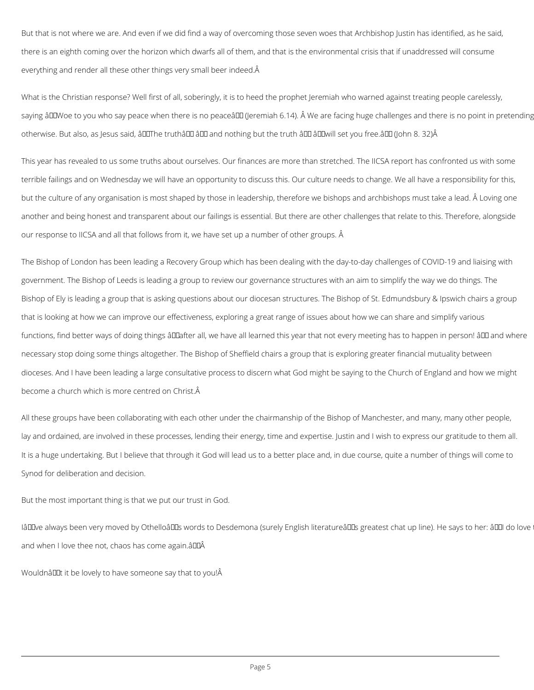But that is not where we are. And even if we did find a way of overcoming those seven woes that Archbishop Justin has identified, as he said, there is an eighth coming over the horizon which dwarfs all of them, and that is the environmental crisis that if unaddressed will consume everything and render all these other things very small beer indeed.

What is the Christian response? Well first of all, soberingly, it is to heed the prophet Jeremiah who warned against treating people carelessly, saying âDDWoe to you who say peace when there is no peaceâDD (Jeremiah 6.14). Â We are facing huge challenges and there is no point in pretending otherwise. But also, as Jesus said, â **DIThe truthâ DD** â **DD** and nothing but the truth â DD â DDwill set you free.â DD (John 8. 32) Â

This year has revealed to us some truths about ourselves. Our finances are more than stretched. The IICSA report has confronted us with some terrible failings and on Wednesday we will have an opportunity to discuss this. Our culture needs to change. We all have a responsibility for this, but the culture of any organisation is most shaped by those in leadership, therefore we bishops and archbishops must take a lead. Â Loving one another and being honest and transparent about our failings is essential. But there are other challenges that relate to this. Therefore, alongside our response to IICSA and all that follows from it, we have set up a number of other groups. Â

The Bishop of London has been leading a Recovery Group which has been dealing with the day-to-day challenges of COVID-19 and liaising with government. The Bishop of Leeds is leading a group to review our governance structures with an aim to simplify the way we do things. The Bishop of Ely is leading a group that is asking questions about our diocesan structures. The Bishop of St. Edmundsbury & Ipswich chairs a group that is looking at how we can improve our effectiveness, exploring a great range of issues about how we can share and simplify various functions, find better ways of doing things âDDafter all, we have all learned this year that not every meeting has to happen in person! âDD and where necessary stop doing some things altogether. The Bishop of Sheffield chairs a group that is exploring greater financial mutuality between dioceses. And I have been leading a large consultative process to discern what God might be saying to the Church of England and how we might become a church which is more centred on Christ.

All these groups have been collaborating with each other under the chairmanship of the Bishop of Manchester, and many, many other people, lay and ordained, are involved in these processes, lending their energy, time and expertise. Justin and I wish to express our gratitude to them all. It is a huge undertaking. But I believe that through it God will lead us to a better place and, in due course, quite a number of things will come to Synod for deliberation and decision.

But the most important thing is that we put our trust in God.

IâDI we always been very moved by OthelloâDIs words to Desdemona (surely English literatureâDIs greatest chat up line). He says to her: âDI do love

and when I love thee not, chaos has come again.âDDÂ

Wouldnât it be lovely to have someone say that to you! A